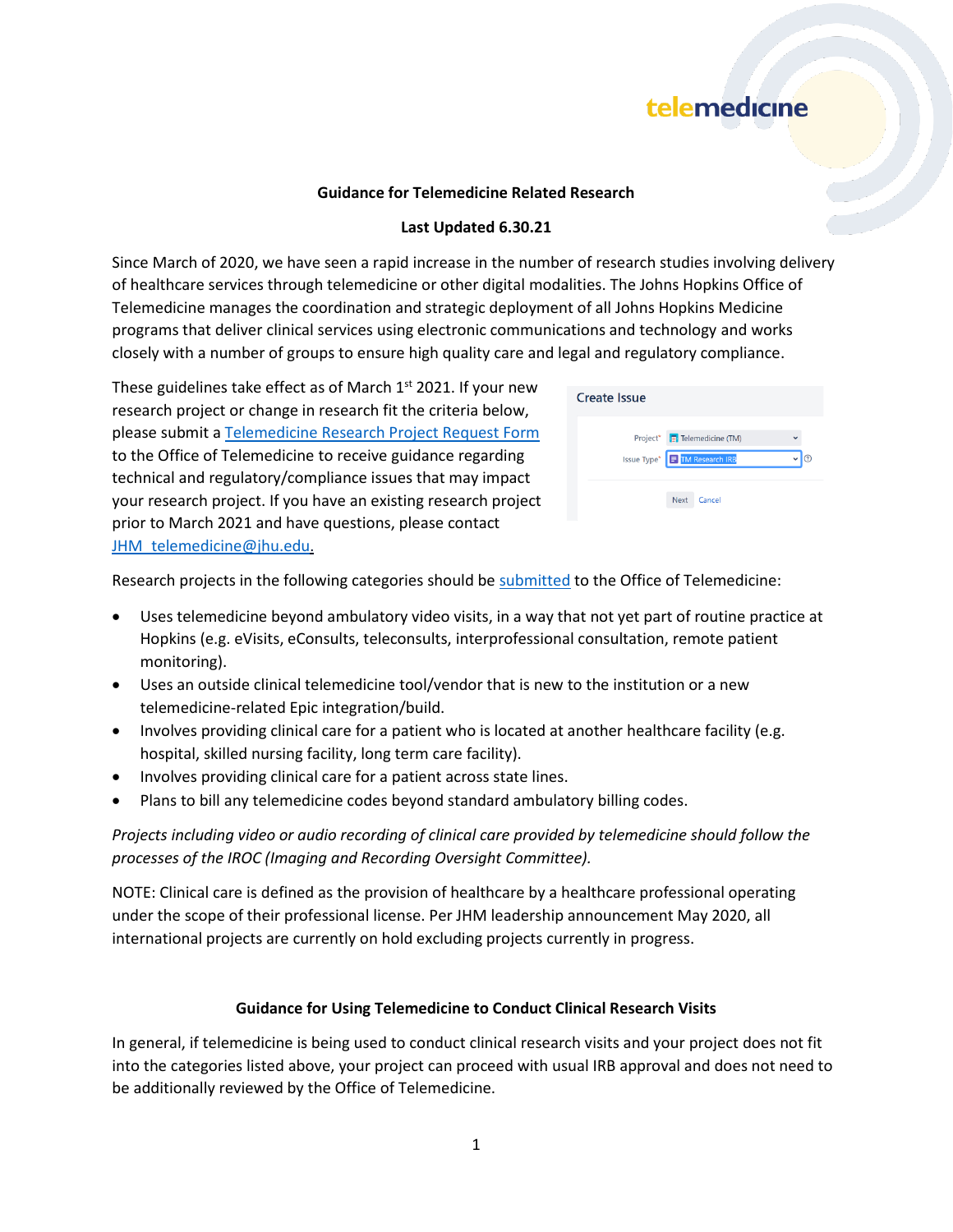#### **Guidance for Telemedicine Related Research**

#### **Last Updated 6.30.21**

Since March of 2020, we have seen a rapid increase in the number of research studies involving delivery of healthcare services through telemedicine or other digital modalities. The Johns Hopkins Office of Telemedicine manages the coordination and strategic deployment of all Johns Hopkins Medicine programs that deliver clinical services using electronic communications and technology and works closely with a number of groups to ensure high quality care and legal and regulatory compliance.

These guidelines take effect as of March  $1<sup>st</sup>$  2021. If your new research project or change in research fit the criteria below, please submit [a Telemedicine Research Project Request Form](https://cscop.jhmi.edu/jira/secure/CreateIssue!default.jspa) to the Office of Telemedicine to receive guidance regarding technical and regulatory/compliance issues that may impact your research project. If you have an existing research project prior to March 2021 and have questions, please contact [JHM\\_telemedicine@jhu.edu](mailto:JHM_telemedicine@jhu.edu).

| Create Issue |                               |  |
|--------------|-------------------------------|--|
|              | Project* Felemedicine (TM)    |  |
|              | Issue Type* F TM Research IRB |  |
|              | <b>Next</b><br>Cancel         |  |

Research projects in the following categories should be [submitted](https://cscop.jhmi.edu/jira/secure/CreateIssue!default.jspa) to the Office of Telemedicine:

- Uses telemedicine beyond ambulatory video visits, in a way that not yet part of routine practice at Hopkins (e.g. eVisits, eConsults, teleconsults, interprofessional consultation, remote patient monitoring).
- Uses an outside clinical telemedicine tool/vendor that is new to the institution or a new telemedicine-related Epic integration/build.
- Involves providing clinical care for a patient who is located at another healthcare facility (e.g. hospital, skilled nursing facility, long term care facility).
- Involves providing clinical care for a patient across state lines.
- Plans to bill any telemedicine codes beyond standard ambulatory billing codes.

*Projects including video or audio recording of clinical care provided by telemedicine should follow the processes of the IROC (Imaging and Recording Oversight Committee).*

NOTE: Clinical care is defined as the provision of healthcare by a healthcare professional operating under the scope of their professional license. Per JHM leadership announcement May 2020, all international projects are currently on hold excluding projects currently in progress.

#### **Guidance for Using Telemedicine to Conduct Clinical Research Visits**

In general, if telemedicine is being used to conduct clinical research visits and your project does not fit into the categories listed above, your project can proceed with usual IRB approval and does not need to be additionally reviewed by the Office of Telemedicine.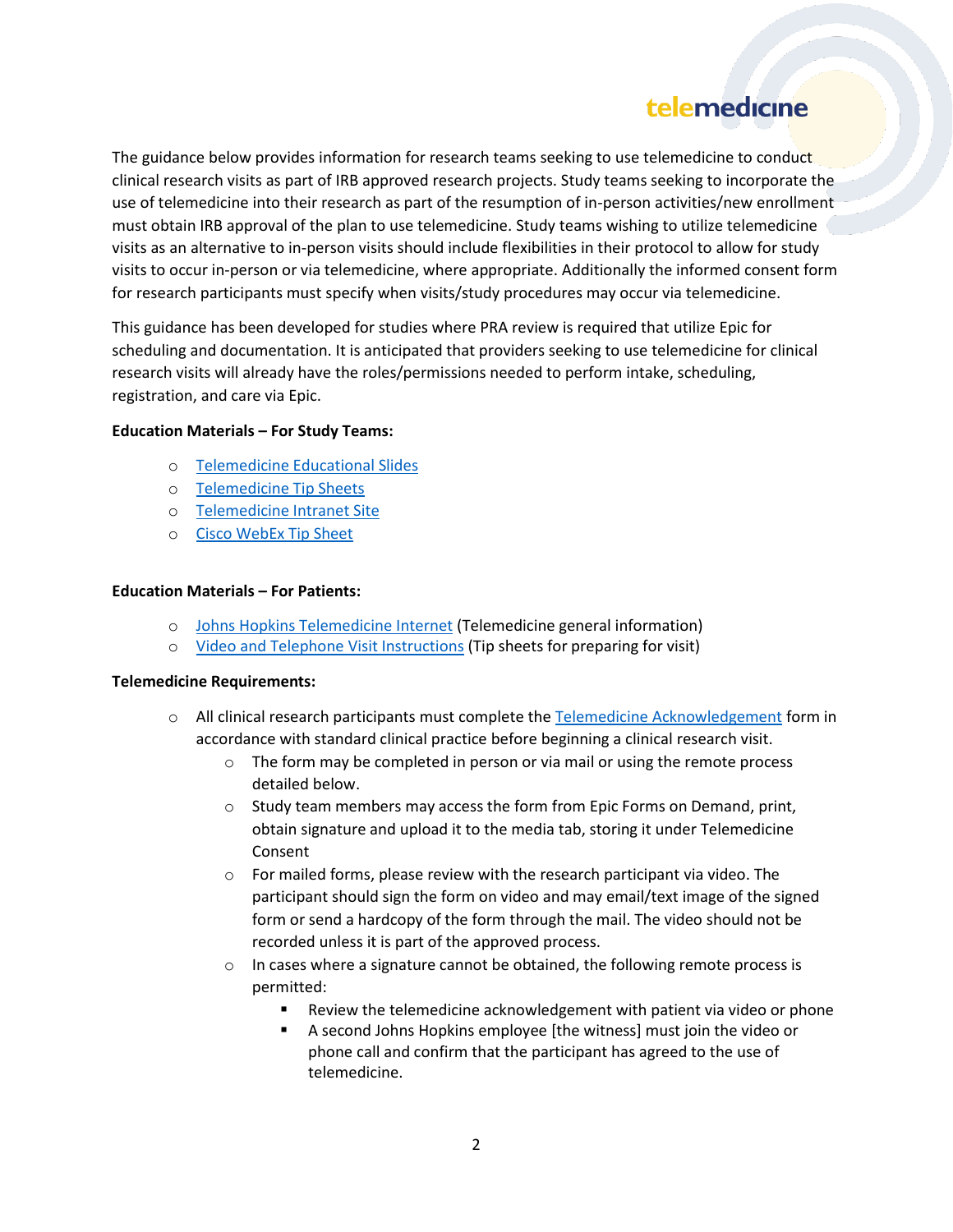The guidance below provides information for research teams seeking to use telemedicine to conduct clinical research visits as part of IRB approved research projects. Study teams seeking to incorporate the use of telemedicine into their research as part of the resumption of in-person activities/new enrollment must obtain IRB approval of the plan to use telemedicine. Study teams wishing to utilize telemedicine visits as an alternative to in-person visits should include flexibilities in their protocol to allow for study visits to occur in-person or via telemedicine, where appropriate. Additionally the informed consent form for research participants must specify when visits/study procedures may occur via telemedicine.

This guidance has been developed for studies where PRA review is required that utilize Epic for scheduling and documentation. It is anticipated that providers seeking to use telemedicine for clinical research visits will already have the roles/permissions needed to perform intake, scheduling, registration, and care via Epic.

#### **Education Materials – For Study Teams:**

- o [Telemedicine Educational Slides](https://www.hopkinsmedicine.org/institutional_review_board/news/covid19_information.html/TelemedicineEducationalPresentation.pdf)
- o [Telemedicine Tip Sheets](https://livejohnshopkins.sharepoint.com/sites/epictraining/SitePages/telemedicine.aspx)
- o [Telemedicine Intranet Site](https://intranet.insidehopkinsmedicine.org/telemedicine)
- o [Cisco WebEx Tip Sheet](https://livejohnshopkins.sharepoint.com/sites/epictraining/Epic%20Training%20Dropbox%20DocLib/Video%20Visits%20-%20Ambulatory%20Cisco%20Webex.pdf)

#### **Education Materials – For Patients:**

- o [Johns Hopkins Telemedicine Internet](https://www.hopkinsmedicine.org/telemedicine/index.html) (Telemedicine general information)
- o [Video and Telephone Visit Instructions](https://www.hopkinsmedicine.org/telemedicine/info.html) (Tip sheets for preparing for visit)

#### **Telemedicine Requirements:**

- o All clinical research participants must complete the [Telemedicine Acknowledgement](https://livejohnshopkins.sharepoint.com/sites/epictraining/Epic%20Training%20Dropbox%20DocLib/Telemedicine%20Acknowledgement%20V8.pdf) form in accordance with standard clinical practice before beginning a clinical research visit.
	- $\circ$  The form may be completed in person or via mail or using the remote process detailed below.
	- o Study team members may access the form from Epic Forms on Demand, print, obtain signature and upload it to the media tab, storing it under Telemedicine Consent
	- $\circ$  For mailed forms, please review with the research participant via video. The participant should sign the form on video and may email/text image of the signed form or send a hardcopy of the form through the mail. The video should not be recorded unless it is part of the approved process.
	- $\circ$  In cases where a signature cannot be obtained, the following remote process is permitted:
		- Review the telemedicine acknowledgement with patient via video or phone
		- A second Johns Hopkins employee [the witness] must join the video or phone call and confirm that the participant has agreed to the use of telemedicine.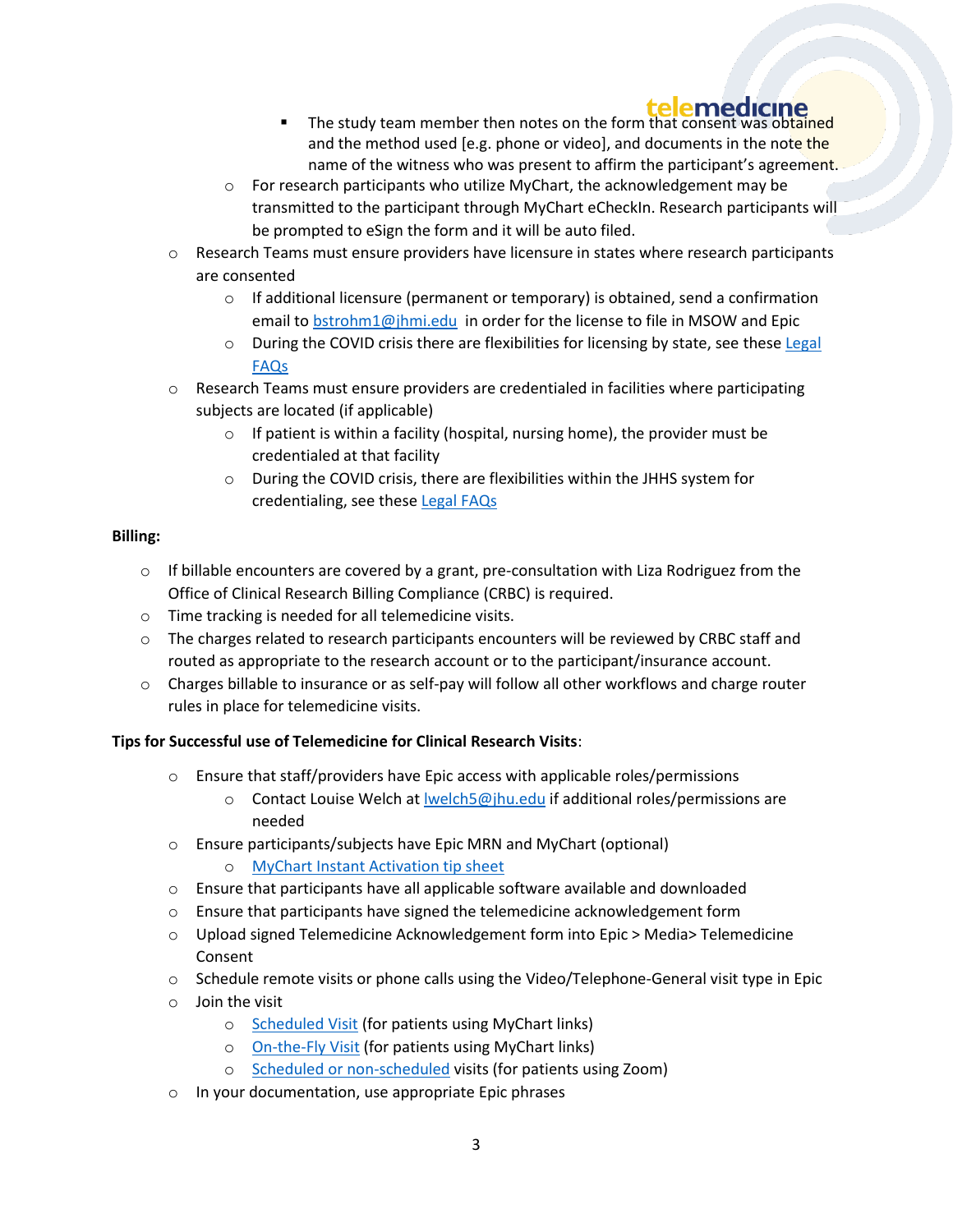- **■** The study team member then notes on the form that consent was obtained and the method used [e.g. phone or video], and documents in the note the name of the witness who was present to affirm the participant's agreement.
- $\circ$  For research participants who utilize MyChart, the acknowledgement may be transmitted to the participant through MyChart eCheckIn. Research participants will be prompted to eSign the form and it will be auto filed.
- o Research Teams must ensure providers have licensure in states where research participants are consented
	- $\circ$  If additional licensure (permanent or temporary) is obtained, send a confirmation email to [bstrohm1@jhmi.edu](mailto:bstrohm1@jhmi.edu) in order for the license to file in MSOW and Epic
	- $\circ$  During the COVID crisis there are flexibilities for licensing by state, see these Legal [FAQs](https://intranet.insidehopkinsmedicine.org/telemedicine/_docs/frequently-asked-questions-regarding-telemedicine-during-covid-19-crisis.pdf)
- $\circ$  Research Teams must ensure providers are credentialed in facilities where participating subjects are located (if applicable)
	- $\circ$  If patient is within a facility (hospital, nursing home), the provider must be credentialed at that facility
	- o During the COVID crisis, there are flexibilities within the JHHS system for credentialing, see these [Legal FAQs](https://intranet.insidehopkinsmedicine.org/telemedicine/_docs/frequently-asked-questions-regarding-telemedicine-during-covid-19-crisis.pdf)

### **Billing:**

- $\circ$  If billable encounters are covered by a grant, pre-consultation with Liza Rodriguez from the Office of Clinical Research Billing Compliance (CRBC) is required.
- o Time tracking is needed for all telemedicine visits.
- o The charges related to research participants encounters will be reviewed by CRBC staff and routed as appropriate to the research account or to the participant/insurance account.
- o Charges billable to insurance or as self-pay will follow all other workflows and charge router rules in place for telemedicine visits.

## **Tips for Successful use of Telemedicine for Clinical Research Visits**:

- $\circ$  Ensure that staff/providers have Epic access with applicable roles/permissions
	- $\circ$  Contact Louise Welch at Iwelch5@jhu.edu if additional roles/permissions are needed
- o Ensure participants/subjects have Epic MRN and MyChart (optional)
	- [MyChart Instant Activation tip sheet](https://livejohnshopkins.sharepoint.com/sites/epictraining/Epic%20Training%20Dropbox%20DocLib/MyChart%20Instant%20Activation.pdf#search=mychart)
- o Ensure that participants have all applicable software available and downloaded
- $\circ$  Ensure that participants have signed the telemedicine acknowledgement form
- o Upload signed Telemedicine Acknowledgement form into Epic > Media> Telemedicine Consent
- $\circ$  Schedule remote visits or phone calls using the Video/Telephone-General visit type in Epic
- o Join the visit
	- o [Scheduled Visit](https://livejohnshopkins.sharepoint.com/sites/epictraining/Epic%20Training%20Dropbox%20DocLib/Video%20Visit%20-%20Provider%20Starting%20a%20Scheduled%20Video%20Visit.pdf) (for patients using MyChart links)
	- o [On-the-Fly Visit](https://livejohnshopkins.sharepoint.com/sites/epictraining/Epic%20Training%20Dropbox%20DocLib/Video%20Visit%20-%20On-the-Fly%20Video%20Visit%20-%20Ambulatory%20Providers.pdf) (for patients using MyChart links)
	- o [Scheduled or non-scheduled](https://livejohnshopkins.sharepoint.com/sites/epictraining/Epic%20Training%20Dropbox%20DocLib/Video%20Visits%20-%20Zoom%20for%20Ambulatory.pdf) visits (for patients using Zoom)
- o In your documentation, use appropriate Epic phrases